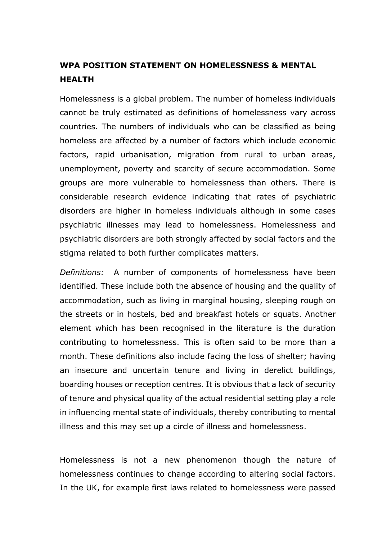## **WPA POSITION STATEMENT ON HOMELESSNESS & MENTAL HEALTH**

Homelessness is a global problem. The number of homeless individuals cannot be truly estimated as definitions of homelessness vary across countries. The numbers of individuals who can be classified as being homeless are affected by a number of factors which include economic factors, rapid urbanisation, migration from rural to urban areas, unemployment, poverty and scarcity of secure accommodation. Some groups are more vulnerable to homelessness than others. There is considerable research evidence indicating that rates of psychiatric disorders are higher in homeless individuals although in some cases psychiatric illnesses may lead to homelessness. Homelessness and psychiatric disorders are both strongly affected by social factors and the stigma related to both further complicates matters.

*Definitions:* A number of components of homelessness have been identified. These include both the absence of housing and the quality of accommodation, such as living in marginal housing, sleeping rough on the streets or in hostels, bed and breakfast hotels or squats. Another element which has been recognised in the literature is the duration contributing to homelessness. This is often said to be more than a month. These definitions also include facing the loss of shelter; having an insecure and uncertain tenure and living in derelict buildings, boarding houses or reception centres. It is obvious that a lack of security of tenure and physical quality of the actual residential setting play a role in influencing mental state of individuals, thereby contributing to mental illness and this may set up a circle of illness and homelessness.

Homelessness is not a new phenomenon though the nature of homelessness continues to change according to altering social factors. In the UK, for example first laws related to homelessness were passed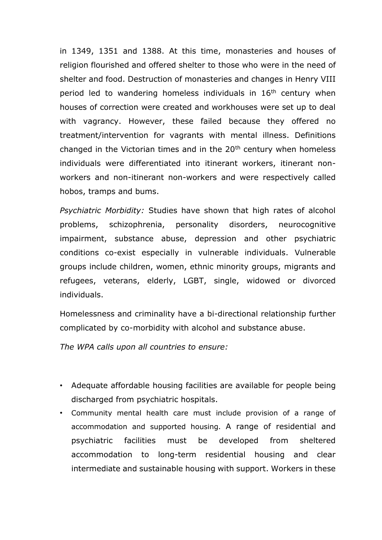in 1349, 1351 and 1388. At this time, monasteries and houses of religion flourished and offered shelter to those who were in the need of shelter and food. Destruction of monasteries and changes in Henry VIII period led to wandering homeless individuals in 16<sup>th</sup> century when houses of correction were created and workhouses were set up to deal with vagrancy. However, these failed because they offered no treatment/intervention for vagrants with mental illness. Definitions changed in the Victorian times and in the  $20<sup>th</sup>$  century when homeless individuals were differentiated into itinerant workers, itinerant nonworkers and non-itinerant non-workers and were respectively called hobos, tramps and bums.

*Psychiatric Morbidity:* Studies have shown that high rates of alcohol problems, schizophrenia, personality disorders, neurocognitive impairment, substance abuse, depression and other psychiatric conditions co-exist especially in vulnerable individuals. Vulnerable groups include children, women, ethnic minority groups, migrants and refugees, veterans, elderly, LGBT, single, widowed or divorced individuals.

Homelessness and criminality have a bi-directional relationship further complicated by co-morbidity with alcohol and substance abuse.

*The WPA calls upon all countries to ensure:*

- Adequate affordable housing facilities are available for people being discharged from psychiatric hospitals.
- Community mental health care must include provision of a range of accommodation and supported housing. A range of residential and psychiatric facilities must be developed from sheltered accommodation to long-term residential housing and clear intermediate and sustainable housing with support. Workers in these